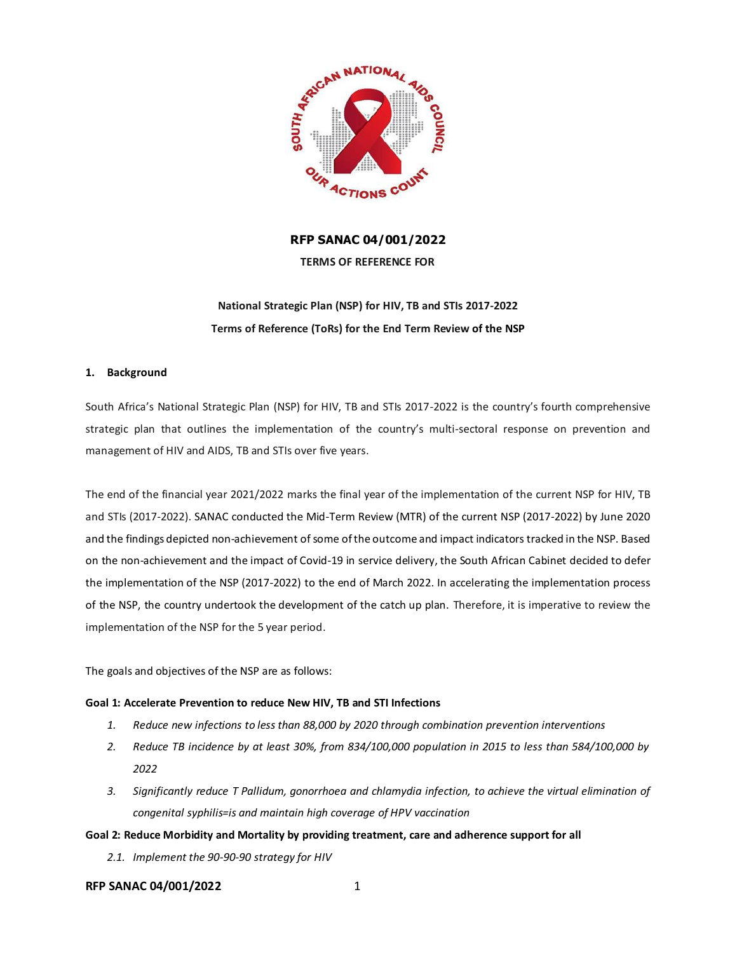

# **RFP SANAC 04/001/2022**

**TERMS OF REFERENCE FOR** 

# **National Strategic Plan (NSP) for HIV, TB and STIs 2017-2022 Terms of Reference (ToRs) for the End Term Review of the NSP**

# **1. Background**

South Africa's National Strategic Plan (NSP) for HIV, TB and STIs 2017-2022 is the country's fourth comprehensive strategic plan that outlines the implementation of the country's multi-sectoral response on prevention and management of HIV and AIDS, TB and STIs over five years.

The end of the financial year 2021/2022 marks the final year of the implementation of the current NSP for HIV, TB and STIs (2017-2022). SANAC conducted the Mid-Term Review (MTR) of the current NSP (2017-2022) by June 2020 and the findings depicted non-achievement of some of the outcome and impact indicators tracked in the NSP. Based on the non-achievement and the impact of Covid-19 in service delivery, the South African Cabinet decided to defer the implementation of the NSP (2017-2022) to the end of March 2022. In accelerating the implementation process of the NSP, the country undertook the development of the catch up plan. Therefore, it is imperative to review the implementation of the NSP for the 5 year period.

The goals and objectives of the NSP are as follows:

# **Goal 1: Accelerate Prevention to reduce New HIV, TB and STI Infections**

- *1. Reduce new infections to less than 88,000 by 2020 through combination prevention interventions*
- *2. Reduce TB incidence by at least 30%, from 834/100,000 population in 2015 to less than 584/100,000 by 2022*
- *3. Significantly reduce T Pallidum, gonorrhoea and chlamydia infection, to achieve the virtual elimination of congenital syphilis=is and maintain high coverage of HPV vaccination*
- **Goal 2: Reduce Morbidity and Mortality by providing treatment, care and adherence support for all**
	- *2.1. Implement the 90-90-90 strategy for HIV*

# **RFP SANAC 04/001/2022** 1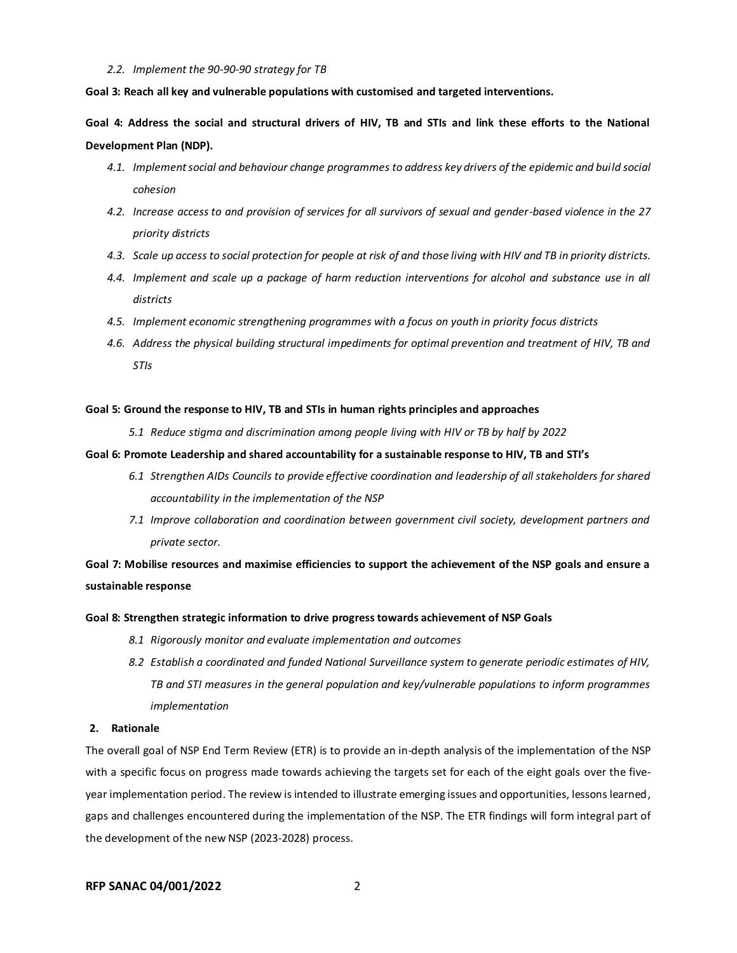#### *2.2. Implement the 90-90-90 strategy for TB*

**Goal 3: Reach all key and vulnerable populations with customised and targeted interventions.**

**Goal 4: Address the social and structural drivers of HIV, TB and STIs and link these efforts to the National Development Plan (NDP).**

- *4.1. Implement social and behaviour change programmes to address key drivers of the epidemic and build social cohesion*
- *4.2. Increase access to and provision of services for all survivors of sexual and gender-based violence in the 27 priority districts*
- *4.3. Scale up access to social protection for people at risk of and those living with HIV and TB in priority districts.*
- *4.4. Implement and scale up a package of harm reduction interventions for alcohol and substance use in all districts*
- *4.5. Implement economic strengthening programmes with a focus on youth in priority focus districts*
- *4.6. Address the physical building structural impediments for optimal prevention and treatment of HIV, TB and STIs*

#### **Goal 5: Ground the response to HIV, TB and STIs in human rights principles and approaches**

*5.1 Reduce stigma and discrimination among people living with HIV or TB by half by 2022*

#### **Goal 6: Promote Leadership and shared accountability for a sustainable response to HIV, TB and STI's**

- *6.1 Strengthen AIDs Councils to provide effective coordination and leadership of all stakeholders for shared accountability in the implementation of the NSP*
- *7.1 Improve collaboration and coordination between government civil society, development partners and private sector.*

**Goal 7: Mobilise resources and maximise efficiencies to support the achievement of the NSP goals and ensure a sustainable response**

#### **Goal 8: Strengthen strategic information to drive progress towards achievement of NSP Goals**

- *8.1 Rigorously monitor and evaluate implementation and outcomes*
- *8.2 Establish a coordinated and funded National Surveillance system to generate periodic estimates of HIV, TB and STI measures in the general population and key/vulnerable populations to inform programmes implementation*

# **2. Rationale**

The overall goal of NSP End Term Review (ETR) is to provide an in-depth analysis of the implementation of the NSP with a specific focus on progress made towards achieving the targets set for each of the eight goals over the fiveyear implementation period. The review is intended to illustrate emerging issues and opportunities, lessons learned, gaps and challenges encountered during the implementation of the NSP. The ETR findings will form integral part of the development of the new NSP (2023-2028) process.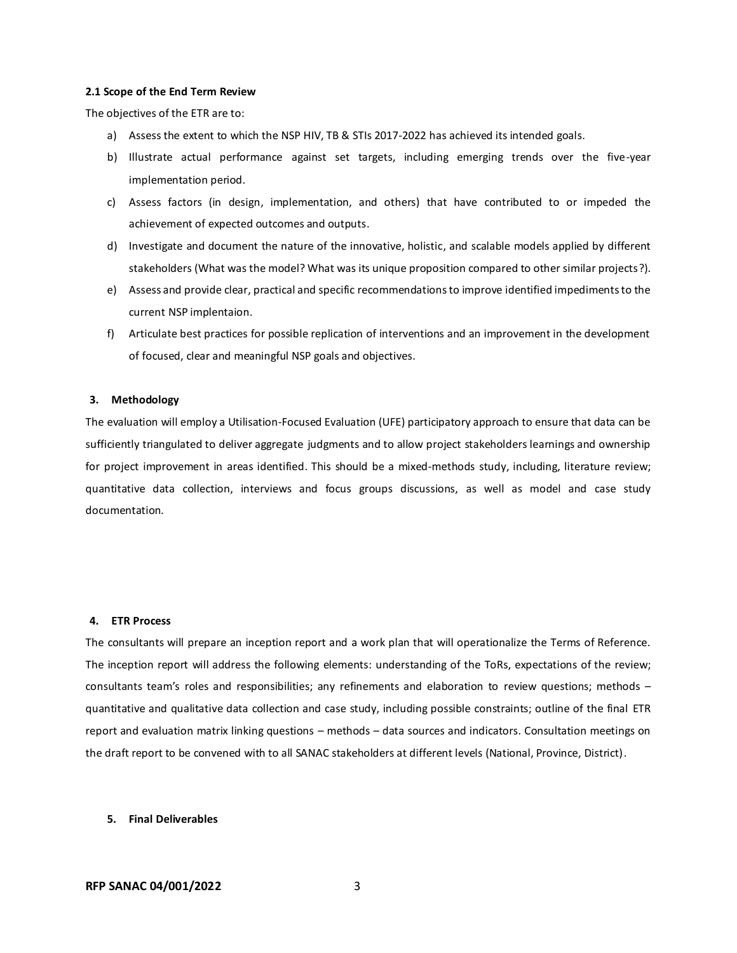#### **2.1 Scope of the End Term Review**

The objectives of the ETR are to:

- a) Assess the extent to which the NSP HIV, TB & STIs 2017-2022 has achieved its intended goals.
- b) Illustrate actual performance against set targets, including emerging trends over the five-year implementation period.
- c) Assess factors (in design, implementation, and others) that have contributed to or impeded the achievement of expected outcomes and outputs.
- d) Investigate and document the nature of the innovative, holistic, and scalable models applied by different stakeholders (What was the model? What was its unique proposition compared to other similar projects?).
- e) Assess and provide clear, practical and specific recommendations to improve identified impediments to the current NSP implentaion.
- f) Articulate best practices for possible replication of interventions and an improvement in the development of focused, clear and meaningful NSP goals and objectives.

#### **3. Methodology**

The evaluation will employ a Utilisation-Focused Evaluation (UFE) participatory approach to ensure that data can be sufficiently triangulated to deliver aggregate judgments and to allow project stakeholders learnings and ownership for project improvement in areas identified. This should be a mixed-methods study, including, literature review; quantitative data collection, interviews and focus groups discussions, as well as model and case study documentation*.*

#### **4. ETR Process**

The consultants will prepare an inception report and a work plan that will operationalize the Terms of Reference. The inception report will address the following elements: understanding of the ToRs, expectations of the review; consultants team's roles and responsibilities; any refinements and elaboration to review questions; methods – quantitative and qualitative data collection and case study, including possible constraints; outline of the final ETR report and evaluation matrix linking questions – methods – data sources and indicators. Consultation meetings on the draft report to be convened with to all SANAC stakeholders at different levels (National, Province, District).

#### **5. Final Deliverables**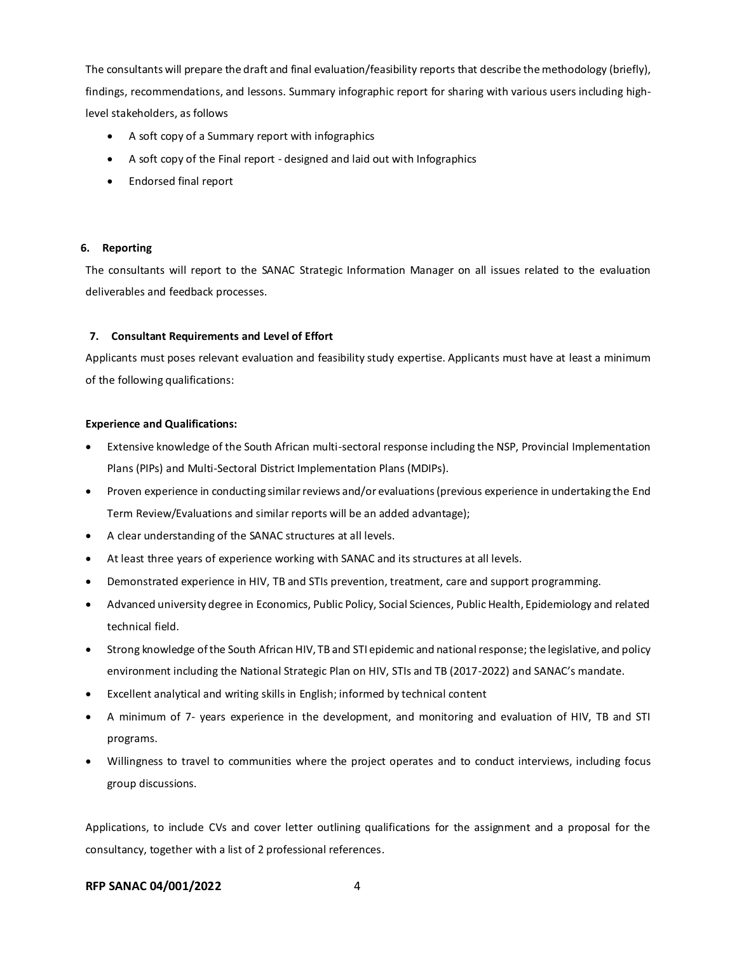The consultants will prepare the draft and final evaluation/feasibility reports that describe themethodology (briefly), findings, recommendations, and lessons. Summary infographic report for sharing with various users including highlevel stakeholders, as follows

- A soft copy of a Summary report with infographics
- A soft copy of the Final report designed and laid out with Infographics
- Endorsed final report

# **6. Reporting**

The consultants will report to the SANAC Strategic Information Manager on all issues related to the evaluation deliverables and feedback processes.

# **7. Consultant Requirements and Level of Effort**

Applicants must poses relevant evaluation and feasibility study expertise. Applicants must have at least a minimum of the following qualifications:

# **Experience and Qualifications:**

- Extensive knowledge of the South African multi-sectoral response including the NSP, Provincial Implementation Plans (PIPs) and Multi-Sectoral District Implementation Plans (MDIPs).
- Proven experience in conducting similar reviews and/or evaluations (previous experience in undertaking the End Term Review/Evaluations and similar reports will be an added advantage);
- A clear understanding of the SANAC structures at all levels.
- At least three years of experience working with SANAC and its structures at all levels.
- Demonstrated experience in HIV, TB and STIs prevention, treatment, care and support programming.
- Advanced university degree in Economics, Public Policy, Social Sciences, Public Health, Epidemiology and related technical field.
- Strong knowledge of the South African HIV, TB and STI epidemic and national response; the legislative, and policy environment including the National Strategic Plan on HIV, STIs and TB (2017-2022) and SANAC's mandate.
- Excellent analytical and writing skills in English; informed by technical content
- A minimum of 7- years experience in the development, and monitoring and evaluation of HIV, TB and STI programs.
- Willingness to travel to communities where the project operates and to conduct interviews, including focus group discussions.

Applications, to include CVs and cover letter outlining qualifications for the assignment and a proposal for the consultancy, together with a list of 2 professional references.

# **RFP SANAC 04/001/2022** 4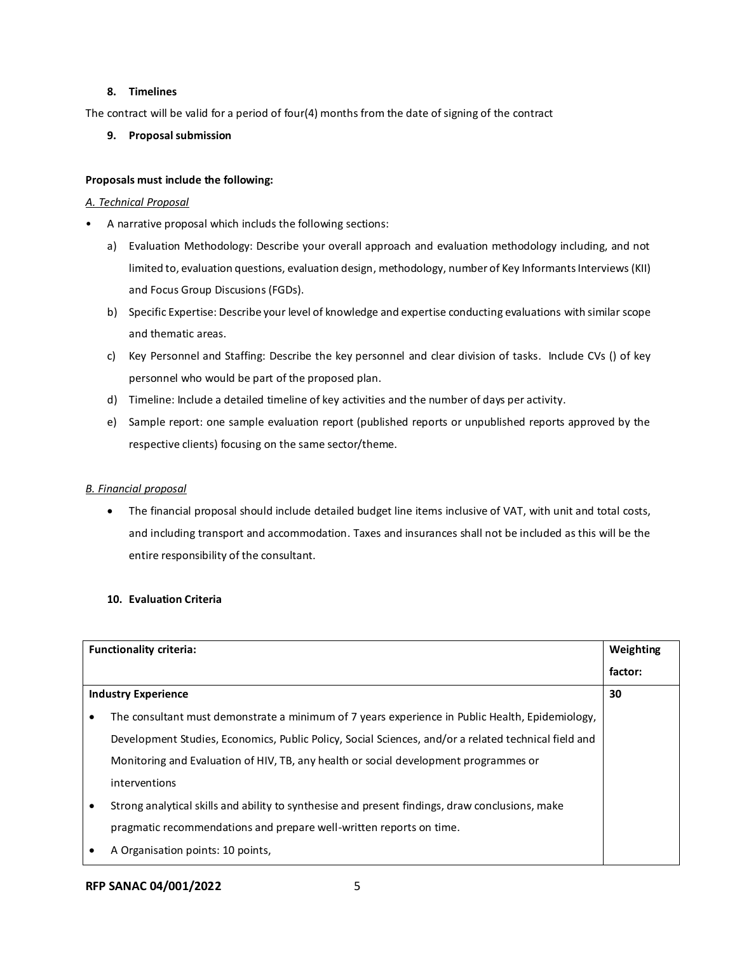# **8. Timelines**

The contract will be valid for a period of four(4) months from the date of signing of the contract

# **9. Proposal submission**

# **Proposals must include the following:**

# *A. Technical Proposal*

- A narrative proposal which includs the following sections:
	- a) Evaluation Methodology: Describe your overall approach and evaluation methodology including, and not limited to, evaluation questions, evaluation design, methodology, number of Key Informants Interviews (KII) and Focus Group Discusions (FGDs).
	- b) Specific Expertise: Describe your level of knowledge and expertise conducting evaluations with similar scope and thematic areas.
	- c) Key Personnel and Staffing: Describe the key personnel and clear division of tasks. Include CVs () of key personnel who would be part of the proposed plan.
	- d) Timeline: Include a detailed timeline of key activities and the number of days per activity.
	- e) Sample report: one sample evaluation report (published reports or unpublished reports approved by the respective clients) focusing on the same sector/theme.

# *B. Financial proposal*

• The financial proposal should include detailed budget line items inclusive of VAT, with unit and total costs, and including transport and accommodation. Taxes and insurances shall not be included as this will be the entire responsibility of the consultant.

# **10. Evaluation Criteria**

| <b>Functionality criteria:</b> |                                                                                                      | Weighting |
|--------------------------------|------------------------------------------------------------------------------------------------------|-----------|
|                                |                                                                                                      | factor:   |
| <b>Industry Experience</b>     |                                                                                                      | 30        |
|                                | The consultant must demonstrate a minimum of 7 years experience in Public Health, Epidemiology,      |           |
|                                | Development Studies, Economics, Public Policy, Social Sciences, and/or a related technical field and |           |
|                                | Monitoring and Evaluation of HIV, TB, any health or social development programmes or                 |           |
|                                | interventions                                                                                        |           |
|                                | Strong analytical skills and ability to synthesise and present findings, draw conclusions, make      |           |
|                                | pragmatic recommendations and prepare well-written reports on time.                                  |           |
|                                | A Organisation points: 10 points,                                                                    |           |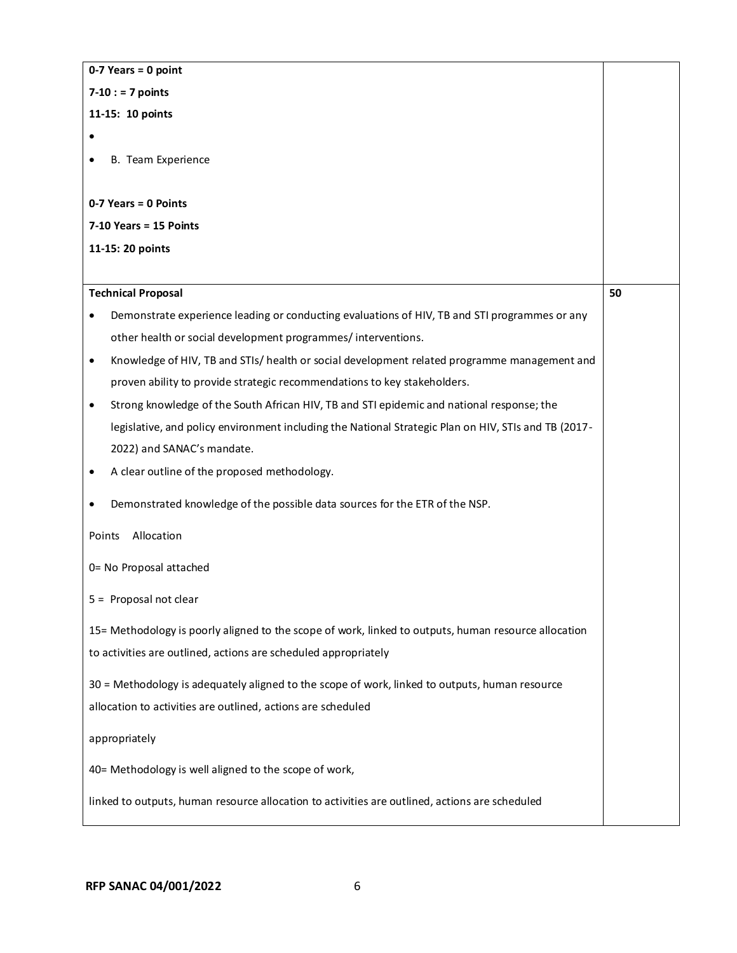| $0-7$ Years = 0 point                                                                                     |    |  |  |  |  |
|-----------------------------------------------------------------------------------------------------------|----|--|--|--|--|
| $7 - 10$ : = 7 points                                                                                     |    |  |  |  |  |
| 11-15: 10 points                                                                                          |    |  |  |  |  |
|                                                                                                           |    |  |  |  |  |
| B. Team Experience                                                                                        |    |  |  |  |  |
|                                                                                                           |    |  |  |  |  |
| 0-7 Years = 0 Points                                                                                      |    |  |  |  |  |
| $7-10$ Years = 15 Points                                                                                  |    |  |  |  |  |
| 11-15: 20 points                                                                                          |    |  |  |  |  |
|                                                                                                           |    |  |  |  |  |
| <b>Technical Proposal</b>                                                                                 | 50 |  |  |  |  |
| Demonstrate experience leading or conducting evaluations of HIV, TB and STI programmes or any             |    |  |  |  |  |
| other health or social development programmes/interventions.                                              |    |  |  |  |  |
| Knowledge of HIV, TB and STIs/ health or social development related programme management and<br>$\bullet$ |    |  |  |  |  |
| proven ability to provide strategic recommendations to key stakeholders.                                  |    |  |  |  |  |
| Strong knowledge of the South African HIV, TB and STI epidemic and national response; the<br>$\bullet$    |    |  |  |  |  |
| legislative, and policy environment including the National Strategic Plan on HIV, STIs and TB (2017-      |    |  |  |  |  |
| 2022) and SANAC's mandate.                                                                                |    |  |  |  |  |
| A clear outline of the proposed methodology.<br>$\bullet$                                                 |    |  |  |  |  |
| Demonstrated knowledge of the possible data sources for the ETR of the NSP.<br>$\bullet$                  |    |  |  |  |  |
| Allocation<br>Points                                                                                      |    |  |  |  |  |
| 0= No Proposal attached                                                                                   |    |  |  |  |  |
| 5 = Proposal not clear                                                                                    |    |  |  |  |  |
| 15= Methodology is poorly aligned to the scope of work, linked to outputs, human resource allocation      |    |  |  |  |  |
| to activities are outlined, actions are scheduled appropriately                                           |    |  |  |  |  |
| 30 = Methodology is adequately aligned to the scope of work, linked to outputs, human resource            |    |  |  |  |  |
| allocation to activities are outlined, actions are scheduled                                              |    |  |  |  |  |
| appropriately                                                                                             |    |  |  |  |  |
| 40= Methodology is well aligned to the scope of work,                                                     |    |  |  |  |  |
| linked to outputs, human resource allocation to activities are outlined, actions are scheduled            |    |  |  |  |  |